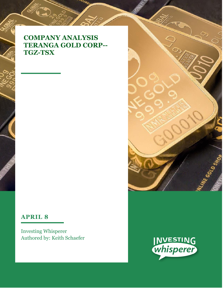# **COMPANY ANALYSIS TERANGA GOLD CORP-- TGZ-TSX**

## **APRIL 8**

Investing Whisperer Authored by: Keith Schaefer



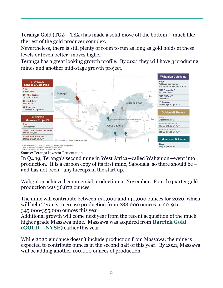Teranga Gold (TGZ – TSX) has made a solid move off the bottom – much like the rest of the gold producer complex.

Nevertheless, there is still plenty of room to run as long as gold holds at these levels or (even better) moves higher.

Teranga has a great looking growth profile. By 2021 they will have 3 producing mines and another mid-stage growth project.



Source: Teranga Investor Presentation

In Q4 19, Teranga's second mine in West Africa—called Wahgnion—went into production. It is a carbon copy of its first mine, Sabodala, so there should be – and has not been—any hiccups in the start up.

Wahgnion achieved commercial production in November. Fourth quarter gold production was 36,872 ounces.

The mine will contribute between 130,000 and 140,000 ounces for 2020, which will help Teranga increase production from 288,000 ounces in 2019 to 345,000-355,000 ounces this year.

Additional growth will come next year from the recent acquisition of the much higher grade Massawa mine. Massawa was acquired from **Barrick Gold (GOLD – NYSE)** earlier this year.

While 2020 guidance doesn't include production from Massawa, the mine is expected to contribute ounces in the second half of this year. By 2021, Massawa will be adding another 100,000 ounces of production.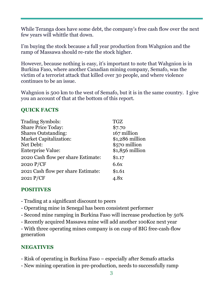While Teranga does have some debt, the company's free cash flow over the next few years will whittle that down.

I'm buying the stock because a full year production from Wahgnion and the ramp of Massawa should re-rate the stock higher.

However, because nothing is easy, it's important to note that Wahgnion is in Burkina Faso, where another Canadian mining company, Semafo, was the victim of a terrorist attack that killed over 30 people, and where violence continues to be an issue.

Wahgnion is 500 km to the west of Semafo, but it is in the same country. I give you an account of that at the bottom of this report.

## **QUICK FACTS**

| <b>Trading Symbols:</b>            | TGZ              |
|------------------------------------|------------------|
| <b>Share Price Today:</b>          | \$7.70           |
| <b>Shares Outstanding:</b>         | 167 million      |
| <b>Market Capitalization:</b>      | \$1,286 million  |
| Net Debt:                          | \$570 million    |
| <b>Enterprise Value:</b>           | $$1,856$ million |
| 2020 Cash flow per share Estimate: | \$1.17           |
| 2020 $P/CF$                        | 6.6x             |
| 2021 Cash flow per share Estimate: | \$1.61           |
| 2021 P/CF                          | 4.8x             |

### **POSITIVES**

- Trading at a significant discount to peers
- Operating mine in Senegal has been consistent performer
- Second mine ramping in Burkina Faso will increase production by 50%
- Recently acquired Massawa mine will add another 100Koz next year

- With three operating mines company is on cusp of BIG free-cash-flow generation

### **NEGATIVES**

- Risk of operating in Burkina Faso especially after Semafo attacks
- New mining operation in pre-production, needs to successfully ramp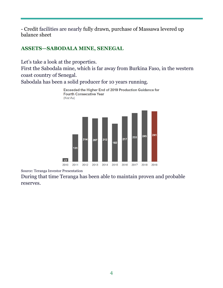- Credit facilities are nearly fully drawn, purchase of Massawa levered up balance sheet

### **ASSETS—SABODALA MINE, SENEGAL**

Let's take a look at the properties.

First the Sabodala mine, which is far away from Burkina Faso, in the western coast country of Senegal.

Sabodala has been a solid producer for 10 years running.



Source: Teranga Investor Presentation

During that time Teranga has been able to maintain proven and probable reserves.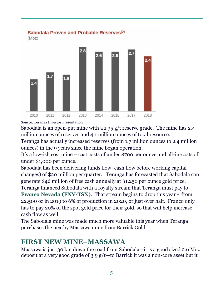

Source: Teranga Investor Presentation

Sabodala is an open-put mine with a 1.35 g/t reserve grade. The mine has 2.4 million ounces of reserves and 4.1 million ounces of total resource.

Teranga has actually increased reserves (from 1.7 million ounces to 2.4 million ounces) in the 9 years since the mine began operation.

It's a low-ish cost mine – cast costs of under \$700 per ounce and all-in-costs of under \$1,000 per ounce.

Sabodala has been delivering funds flow (cash flow before working capital changes) of \$20 million per quarter. Teranga has forecasted that Sabodala can generate \$46 million of free cash annually at \$1,250 per ounce gold price.

Teranga financed Sabodala with a royalty stream that Teranga must pay to **Franco Nevada (FNV-TSX)**. That stream begins to drop this year - from 22,500 oz in 2019 to 6% of production in 2020, or just over half. Franco only has to pay 20% of the spot gold price for their gold, so that will help increase cash flow as well.

The Sabodala mine was made much more valuable this year when Teranga purchases the nearby Massawa mine from Barrick Gold.

## **FIRST NEW MINE–MASSAWA**

Massawa is just 30 km down the road from Sabodala—it is a good sized 2.6 Moz deposit at a very good grade of 3.9 g/t—to Barrick it was a non-core asset but it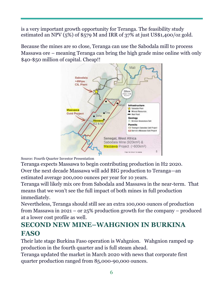is a very important growth opportunity for Teranga. The feasibility study estimated an NPV  $(5%)$  of \$579 M and IRR of 37% at just US\$1,400/oz gold.

Because the mines are so close, Teranga can use the Sabodala mill to process Massawa ore – meaning Teranga can bring the high grade mine online with only \$40-\$50 million of capital. Cheap!!



Source: Fourth Quarter Investor Presentation

Teranga expects Massawa to begin contributing production in H2 2020. Over the next decade Massawa will add BIG production to Teranga—an estimated average 200,000 ounces per year for 10 years.

Teranga will likely mix ore from Sabodala and Massawa in the near-term. That means that we won't see the full impact of both mines in full production immediately.

Nevertheless, Teranga should still see an extra 100,000 ounces of production from Massawa in 2021 – or 25% production growth for the company – produced at a lower cost profile as well.

# **SECOND NEW MINE–WAHGNION IN BURKINA FASO**

Their late stage Burkina Faso operation is Wahgnion. Wahgnion ramped up production in the fourth quarter and is full steam ahead.

Teranga updated the market in March 2020 with news that corporate first quarter production ranged from 85,000-90,000 ounces.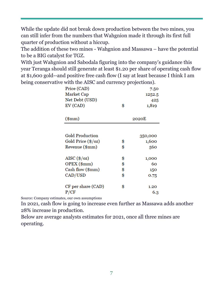While the update did not break down production between the two mines, you can still infer from the numbers that Wahgnion made it through its first full quarter of production without a hiccup.

The addition of these two mines - Wahgnion and Massawa – have the potential to be a BIG catalyst for TGZ.

With just Wahgnion and Sabodala figuring into the company's guidance this year Teranga should still generate at least \$1.20 per share of operating cash flow at \$1,600 gold--and positive free cash flow (I say at least because I think I am being conservative with the AISC and currency projections).

| Price (CAD)                        |        | 7.50    |  |
|------------------------------------|--------|---------|--|
| Market Cap                         | 1252.5 |         |  |
| Net Debt (USD)                     |        | 425     |  |
| EV (CAD)                           | \$     | 1,819   |  |
|                                    |        |         |  |
| $(\mathrm{5mm})$                   | 2020E  |         |  |
|                                    |        |         |  |
| <b>Gold Production</b>             |        | 350,000 |  |
| Gold Price (\$/oz)                 | \$     | 1,600   |  |
| Revenue (\$mm)                     | \$     | 560     |  |
| AISC $(\frac{\text{C}}{\sqrt{2}})$ | \$     | 1,000   |  |
| OPEX (\$mm)                        | \$     | 60      |  |
| Cash flow (\$mm)                   | \$     | 150     |  |
| CAD/USD                            | \$     | 0.75    |  |
| CF per share (CAD)                 | \$     | 1.20    |  |
| P/CF                               |        | 6.3     |  |

Source: Company estimates, our own assumptions

In 2021, cash flow is going to increase even further as Massawa adds another 28% increase in production.

Below are average analysts estimates for 2021, once all three mines are operating.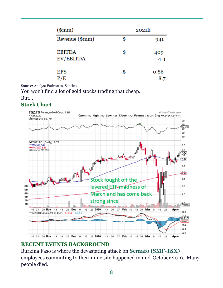| $({\rm 8mm})$              | 2021E |               |  |
|----------------------------|-------|---------------|--|
| Revenue (\$mm)             | \$    | 941           |  |
| <b>EBITDA</b><br>EV/EBITDA | \$    | 409<br>$-4.4$ |  |
| <b>EPS</b><br>P/E          | \$    | 0.86<br>8.7   |  |

Source: Analyst Estimates, Sentieo

You won't find a lot of gold stocks trading that cheap.

### But…

### **Stock Chart**



### **RECENT EVENTS BACKGROUND**

Burkina Faso is where the devastating attack on **Semafo (SMF-TSX)** employees commuting to their mine site happened in mid-October 2019. Many people died.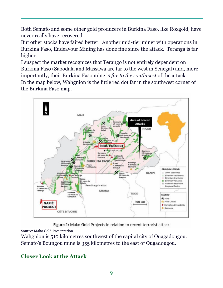Both Semafo and some other gold producers in Burkina Faso, like Roxgold, have never really have recovered.

But other stocks have faired better. Another mid-tier miner with operations in Burkina Faso, Endeavour Mining has done fine since the attack. Teranga is far higher.

I suspect the market recognizes that Terango is not entirely dependent on Burkina Faso (Sabodala and Massawa are far to the west in Senegal) and, more importantly, their Burkina Faso mine is *far to the southwest* of the attack. In the map below, Wahgnion is the little red dot far in the southwest corner of the Burkina Faso map.



Figure 1: Mako Gold Projects in relation to recent terrorist attack

Source: Mako Gold Presentation

Wahgnion is 510 kilometres southwest of the capital city of Ouagadougou. Semafo's Boungou mine is 355 kilometres to the east of Ougadougou.

## **Closer Look at the Attack**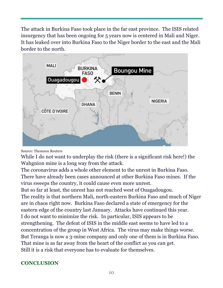The attack in Burkina Faso took place in the far east province. The ISIS related insurgency that has been ongoing for 5 years now is centered in Mali and Niger. It has leaked over into Burkina Faso to the Niger border to the east and the Mali border to the north.



### Source: Thomson Reuters

While I do not want to underplay the risk (there is a significant risk here!) the Wahgnion mine is a long way from the attack.

The coronavirus adds a whole other element to the unrest in Burkina Faso. There have already been cases announced at other Burkina Faso mines. If the virus sweeps the country, it could cause even more unrest.

But so far at least, the unrest has not reached west of Ouagadougou. The reality is that northern Mali, north-eastern Burkina Faso and much of Niger are in chaos right now. Burkina Faso declared a state of emergency for the eastern edge of the country last January. Attacks have continued this year. I do not want to minimize the risk. In particular, ISIS appears to be strengthening. The defeat of ISIS in the middle east seems to have led to a concentration of the group in West Africa. The virus may make things worse. But Teranga is now a 3-mine company and only one of them is in Burkina Faso. That mine is as far away from the heart of the conflict as you can get. Still it is a risk that everyone has to evaluate for themselves.

### **CONCLUSION**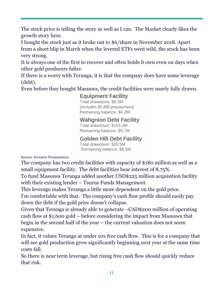The stock price is telling the story as well as I can. The Market clearly likes the growth story here.

I bought the stock just as it broke out to \$6/share in November 2018. Apart from a short blip in March when the levered ETFs went wild, the stock has been very strong.

It is always one of the first to recover and often holds it own even on days when other gold producers falter.

If there is a worry with Teranga, it is that the company does have some leverage (debt).

Even before they bought Massawa, the credit facilities were nearly fully drawn.

**Equipment Facility** Total drawdown: \$8.3M (includes \$0.8M prepayment) Remaining balance: \$4.2M

**Wahgnion Debt Facility** 

Total drawdown: \$155.3M Remaining balance: \$9.7M

**Golden Hill Debt Facility** 

Total drawdown: \$26.5M Remaining balance: \$8.5M

Source: Investor Presentation

The company has two credit facilities with capacity of \$180 million as well as a small equipment facility. The debt facilities bear interest of 8.75%.

To fund Massawa Teranga added another USD\$225 million acquisition facility with their existing lender – Taurus Funds Management.

This leverage makes Teranga a little more dependent on the gold price.

I'm comfortable with that. The company's cash flow profile should easily pay down the debt if the gold price doesn't collapse.

Given that Teranga is already able to generate ~CAD\$200 million of operating cash flow at \$1,600 gold – before considering the impact from Massawa that begin in the second half of the year – the current valuation does not seem expensive.

In fact, it values Teranga at under 10x free cash flow. This is for a company that will see gold production grow significantly beginning next year at the same time costs fall.

So there is near term leverage, but rising free cash flow should quickly reduce that risk.